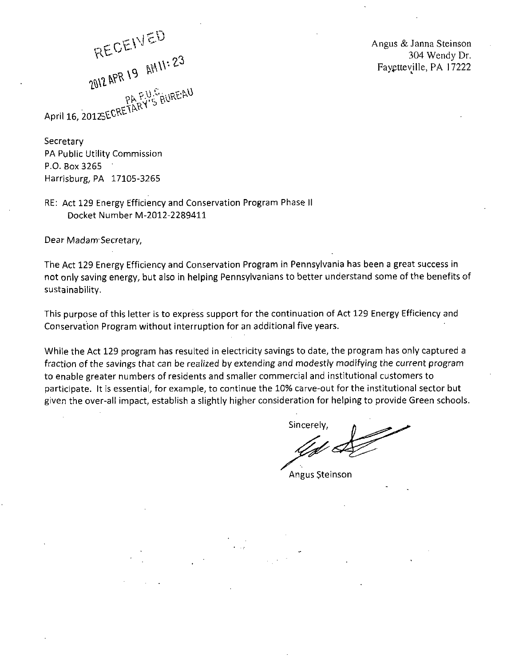RECEIVED RECEIVED 23 U. GRUREAU April 16, 2012SECRE

Angus & Janna Steinson 304 Wendy Dr. Fayptteville, PA 17222

Secretary PA Public Utility Commission P.O. 80x3265 Harrisburg, PA 17105-3265

RE: Act 129 Energy Efficiency and Conservation Program Phase II Docket Number M-2012-2289411

Dear Madam-Secretary,

The Act 129 Energy Efficiency and Conservation Program in Pennsylvania has been a great success in not only saving energy, but also in helping Pennsylvanians to better understand some of the benefits of sustainability.

This purpose of this letter is to express support for the continuation of Act 129 Energy Efficiency and Conservation Program without interruption for an additional five years.

While the Act 129 program has resulted in electricity savings to date, the program has only captured a fraction of the savings that can be realized by extending and modestly modifying the current program to enable greater numbers of residents and smaller commercial and institutional customers to participate. It is essential, for example, to continue the 10% carve-out for the institutional sector but given the over-all impact, establish a slightly higher consideration for helping to provide Green schools.

Sincerely,

Angus \$teinson